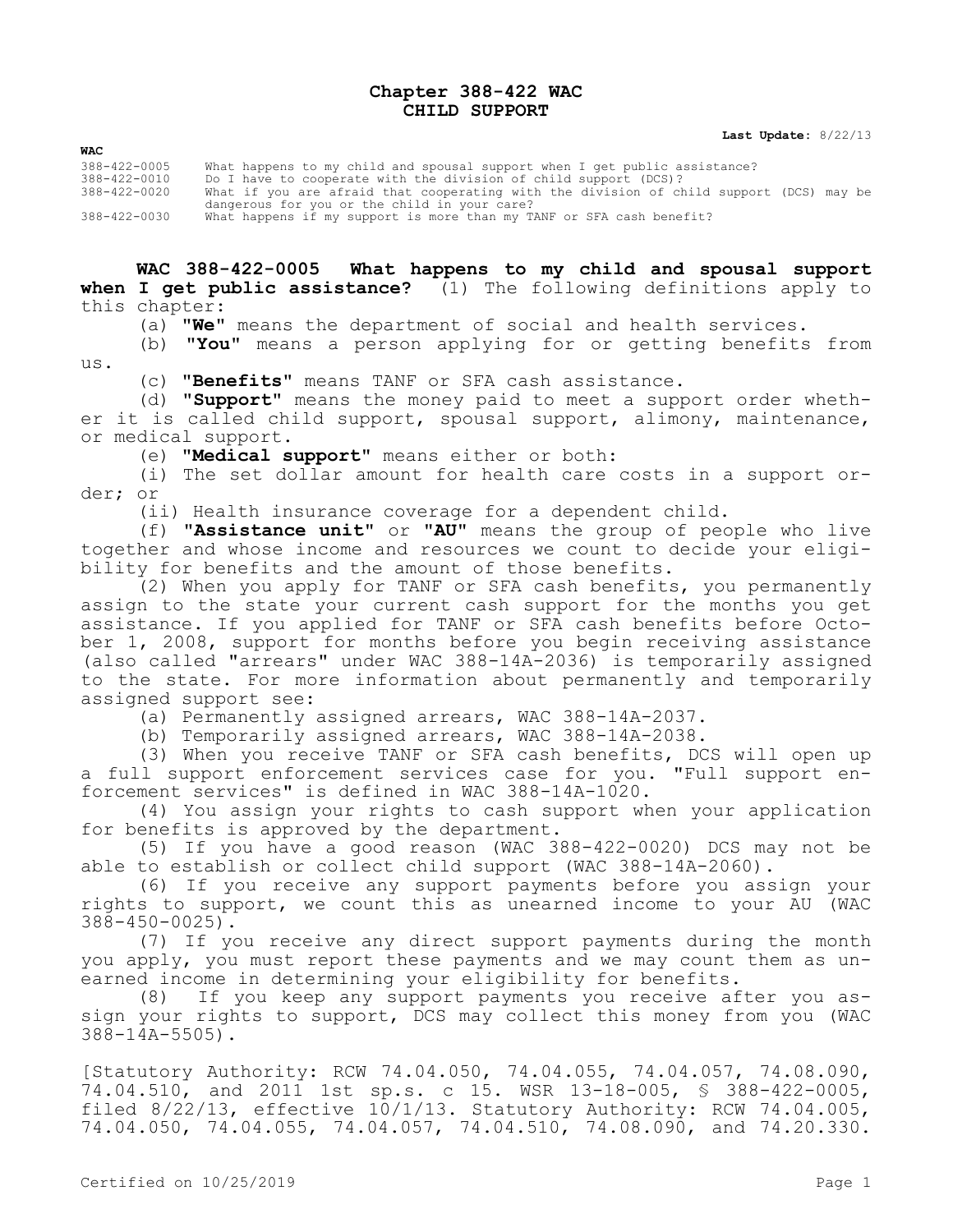## **Chapter 388-422 WAC CHILD SUPPORT**

**Last Update:** 8/22/13

**WAC**

388-422-0005 What happens to my child and spousal support when I get public assistance? 388-422-0010 Do I have to cooperate with the division of child support (DCS)? 388-422-0020 What if you are afraid that cooperating with the division of child support (DCS) may be dangerous for you or the child in your care? 388-422-0030 What happens if my support is more than my TANF or SFA cash benefit?

**WAC 388-422-0005 What happens to my child and spousal support when I get public assistance?** (1) The following definitions apply to this chapter:

(a) **"We"** means the department of social and health services.

(b) **"You"** means a person applying for or getting benefits from us.

(c) **"Benefits"** means TANF or SFA cash assistance.

(d) **"Support"** means the money paid to meet a support order whether it is called child support, spousal support, alimony, maintenance, or medical support.

(e) **"Medical support"** means either or both:

(i) The set dollar amount for health care costs in a support order; or

(ii) Health insurance coverage for a dependent child.

(f) **"Assistance unit"** or **"AU"** means the group of people who live together and whose income and resources we count to decide your eligibility for benefits and the amount of those benefits.

 $(2)$  When you apply for TANF or SFA cash benefits, you permanently assign to the state your current cash support for the months you get assistance. If you applied for TANF or SFA cash benefits before October 1, 2008, support for months before you begin receiving assistance (also called "arrears" under WAC 388-14A-2036) is temporarily assigned to the state. For more information about permanently and temporarily assigned support see:

(a) Permanently assigned arrears, WAC 388-14A-2037.

(b) Temporarily assigned arrears, WAC 388-14A-2038.

(3) When you receive TANF or SFA cash benefits, DCS will open up a full support enforcement services case for you. "Full support enforcement services" is defined in WAC 388-14A-1020.

(4) You assign your rights to cash support when your application for benefits is approved by the department.

(5) If you have a good reason (WAC 388-422-0020) DCS may not be able to establish or collect child support (WAC 388-14A-2060).

(6) If you receive any support payments before you assign your rights to support, we count this as unearned income to your AU (WAC 388-450-0025).

(7) If you receive any direct support payments during the month you apply, you must report these payments and we may count them as unearned income in determining your eligibility for benefits.

(8) If you keep any support payments you receive after you assign your rights to support, DCS may collect this money from you (WAC 388-14A-5505).

[Statutory Authority: RCW 74.04.050, 74.04.055, 74.04.057, 74.08.090, 74.04.510, and 2011 1st sp.s. c 15. WSR 13-18-005, § 388-422-0005, filed 8/22/13, effective 10/1/13. Statutory Authority: RCW 74.04.005, 74.04.050, 74.04.055, 74.04.057, 74.04.510, 74.08.090, and 74.20.330.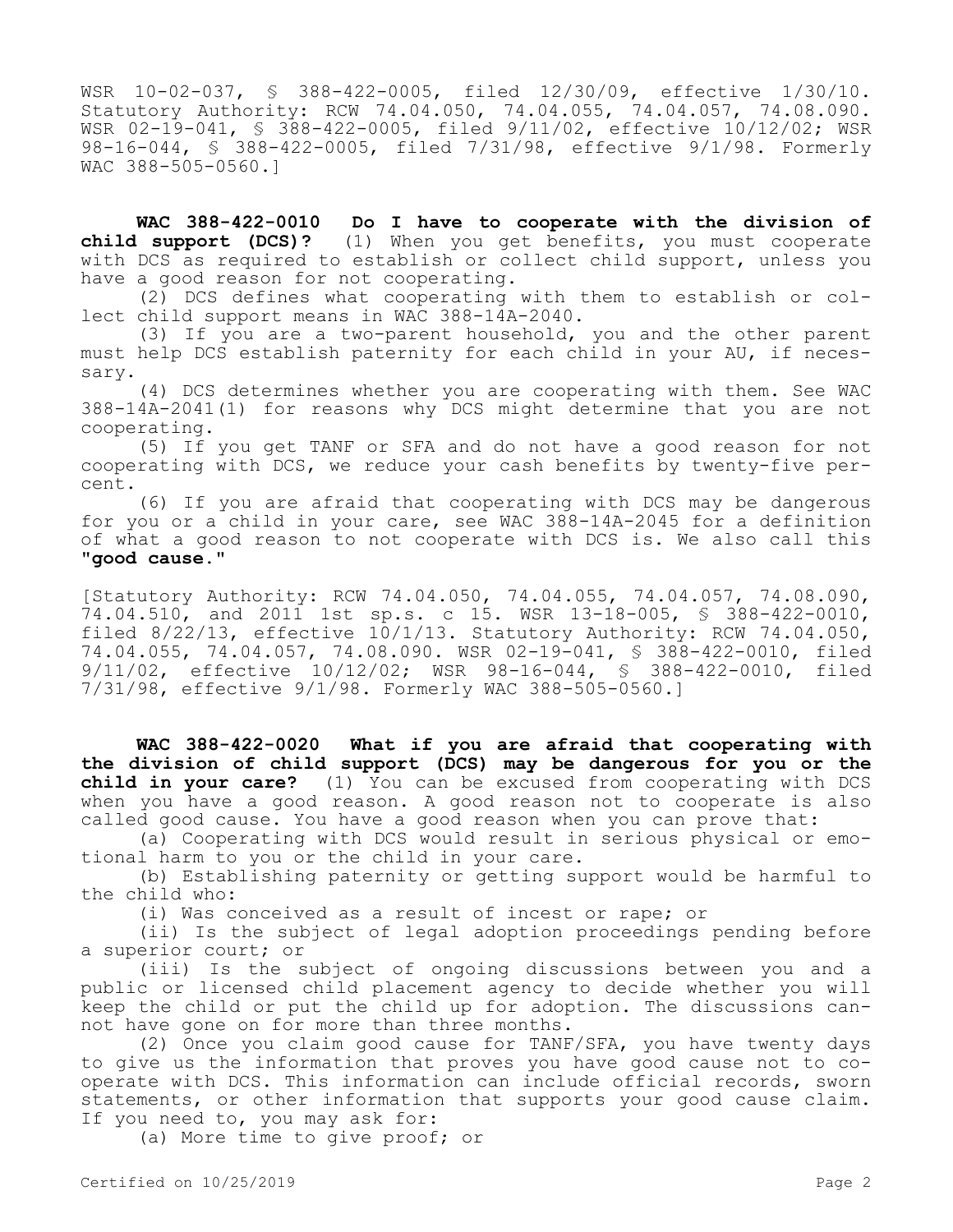WSR 10-02-037, § 388-422-0005, filed 12/30/09, effective 1/30/10. Statutory Authority: RCW 74.04.050, 74.04.055, 74.04.057, 74.08.090. WSR 02-19-041, § 388-422-0005, filed 9/11/02, effective 10/12/02; WSR 98-16-044, § 388-422-0005, filed 7/31/98, effective 9/1/98. Formerly WAC 388-505-0560.]

**WAC 388-422-0010 Do I have to cooperate with the division of child support (DCS)?** (1) When you get benefits, you must cooperate with DCS as required to establish or collect child support, unless you have a good reason for not cooperating.

(2) DCS defines what cooperating with them to establish or collect child support means in WAC 388-14A-2040.

(3) If you are a two-parent household, you and the other parent must help DCS establish paternity for each child in your AU, if necessary.

(4) DCS determines whether you are cooperating with them. See WAC 388-14A-2041(1) for reasons why DCS might determine that you are not cooperating.

(5) If you get TANF or SFA and do not have a good reason for not cooperating with DCS, we reduce your cash benefits by twenty-five percent.

(6) If you are afraid that cooperating with DCS may be dangerous for you or a child in your care, see WAC 388-14A-2045 for a definition of what a good reason to not cooperate with DCS is. We also call this **"good cause."**

[Statutory Authority: RCW 74.04.050, 74.04.055, 74.04.057, 74.08.090, 74.04.510, and 2011 1st sp.s. c 15. WSR 13-18-005, § 388-422-0010, filed 8/22/13, effective 10/1/13. Statutory Authority: RCW 74.04.050, 74.04.055, 74.04.057, 74.08.090. WSR 02-19-041, § 388-422-0010, filed 9/11/02, effective 10/12/02; WSR 98-16-044, § 388-422-0010, filed 7/31/98, effective 9/1/98. Formerly WAC 388-505-0560.]

**WAC 388-422-0020 What if you are afraid that cooperating with the division of child support (DCS) may be dangerous for you or the child in your care?** (1) You can be excused from cooperating with DCS when you have a good reason. A good reason not to cooperate is also called good cause. You have a good reason when you can prove that:

(a) Cooperating with DCS would result in serious physical or emotional harm to you or the child in your care.

(b) Establishing paternity or getting support would be harmful to the child who:

(i) Was conceived as a result of incest or rape; or

(ii) Is the subject of legal adoption proceedings pending before a superior court; or

(iii) Is the subject of ongoing discussions between you and a public or licensed child placement agency to decide whether you will keep the child or put the child up for adoption. The discussions cannot have gone on for more than three months.

(2) Once you claim good cause for TANF/SFA, you have twenty days to give us the information that proves you have good cause not to cooperate with DCS. This information can include official records, sworn statements, or other information that supports your good cause claim. If you need to, you may ask for:

(a) More time to give proof; or